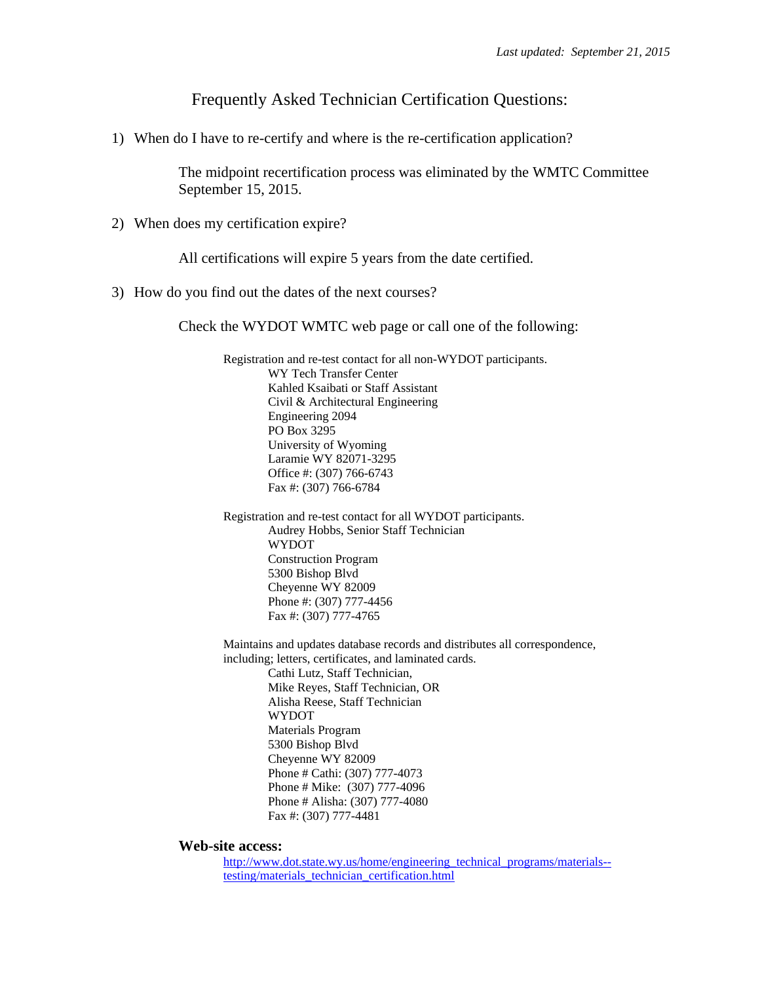Frequently Asked Technician Certification Questions:

1) When do I have to re-certify and where is the re-certification application?

 The midpoint recertification process was eliminated by the WMTC Committee September 15, 2015.

2) When does my certification expire?

All certifications will expire 5 years from the date certified.

3) How do you find out the dates of the next courses?

Check the WYDOT WMTC web page or call one of the following:

Registration and re-test contact for all non-WYDOT participants. WY Tech Transfer Center Kahled Ksaibati or Staff Assistant Civil & Architectural Engineering Engineering 2094 PO Box 3295 University of Wyoming Laramie WY 82071-3295 Office #: (307) 766-6743 Fax #: (307) 766-6784

Registration and re-test contact for all WYDOT participants. Audrey Hobbs, Senior Staff Technician WYDOT Construction Program 5300 Bishop Blvd Cheyenne WY 82009 Phone #: (307) 777-4456 Fax #: (307) 777-4765

Maintains and updates database records and distributes all correspondence, including; letters, certificates, and laminated cards.

> Cathi Lutz, Staff Technician, Mike Reyes, Staff Technician, OR Alisha Reese, Staff Technician WYDOT Materials Program 5300 Bishop Blvd Cheyenne WY 82009 Phone # Cathi: (307) 777-4073 Phone # Mike: (307) 777-4096 Phone # Alisha: (307) 777-4080 Fax #: (307) 777-4481

**Web-site access:** 

http://www.dot.state.wy.us/home/engineering\_technical\_programs/materials-testing/materials\_technician\_certification.html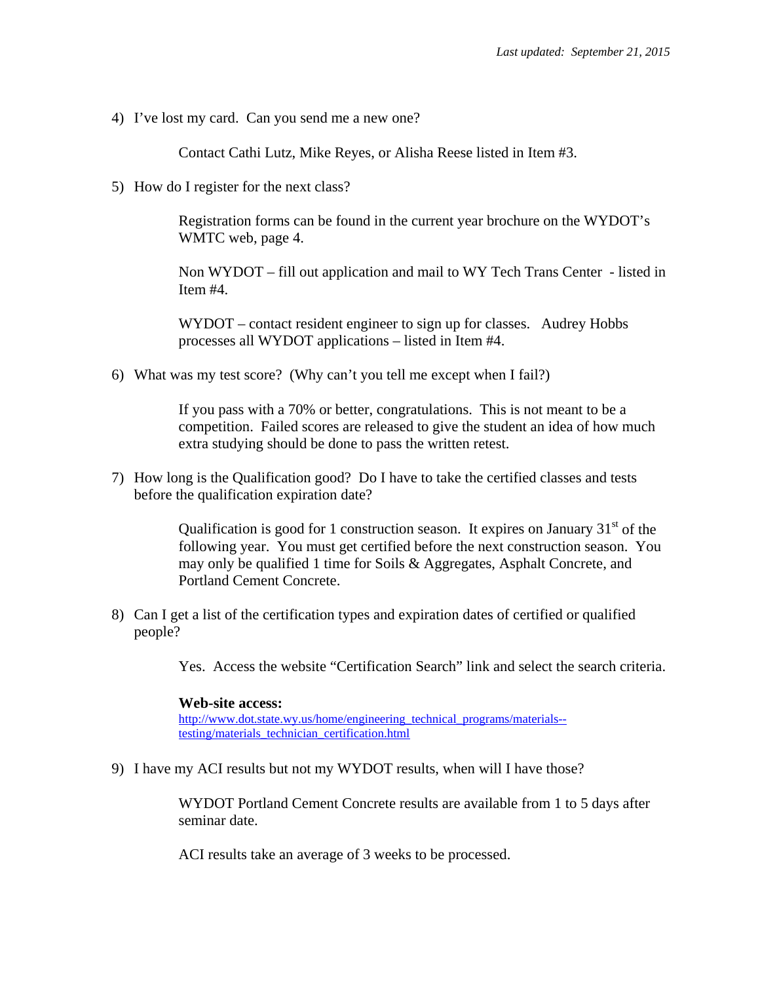4) I've lost my card. Can you send me a new one?

Contact Cathi Lutz, Mike Reyes, or Alisha Reese listed in Item #3.

5) How do I register for the next class?

Registration forms can be found in the current year brochure on the WYDOT's WMTC web, page 4.

Non WYDOT – fill out application and mail to WY Tech Trans Center - listed in Item #4.

WYDOT – contact resident engineer to sign up for classes. Audrey Hobbs processes all WYDOT applications – listed in Item #4.

6) What was my test score? (Why can't you tell me except when I fail?)

If you pass with a 70% or better, congratulations. This is not meant to be a competition. Failed scores are released to give the student an idea of how much extra studying should be done to pass the written retest.

7) How long is the Qualification good? Do I have to take the certified classes and tests before the qualification expiration date?

> Qualification is good for 1 construction season. It expires on January  $31<sup>st</sup>$  of the following year. You must get certified before the next construction season. You may only be qualified 1 time for Soils & Aggregates, Asphalt Concrete, and Portland Cement Concrete.

8) Can I get a list of the certification types and expiration dates of certified or qualified people?

Yes. Access the website "Certification Search" link and select the search criteria.

## **Web-site access:**

http://www.dot.state.wy.us/home/engineering\_technical\_programs/materials- testing/materials\_technician\_certification.html

9) I have my ACI results but not my WYDOT results, when will I have those?

WYDOT Portland Cement Concrete results are available from 1 to 5 days after seminar date.

ACI results take an average of 3 weeks to be processed.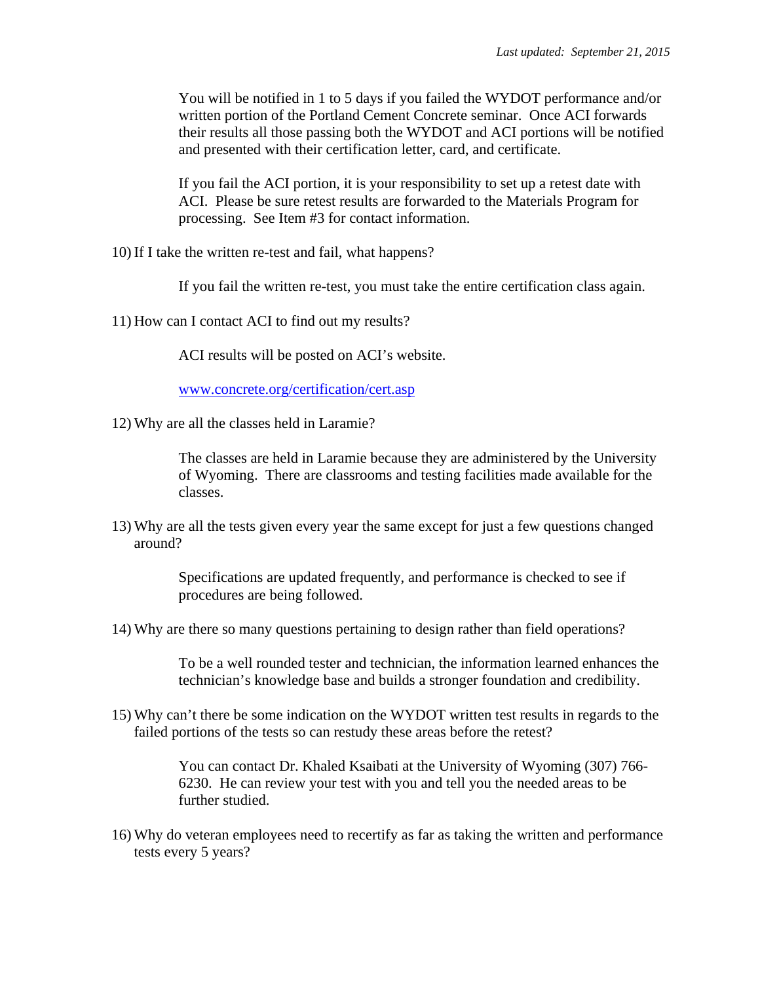You will be notified in 1 to 5 days if you failed the WYDOT performance and/or written portion of the Portland Cement Concrete seminar. Once ACI forwards their results all those passing both the WYDOT and ACI portions will be notified and presented with their certification letter, card, and certificate.

If you fail the ACI portion, it is your responsibility to set up a retest date with ACI. Please be sure retest results are forwarded to the Materials Program for processing. See Item #3 for contact information.

10) If I take the written re-test and fail, what happens?

If you fail the written re-test, you must take the entire certification class again.

11) How can I contact ACI to find out my results?

ACI results will be posted on ACI's website.

www.concrete.org/certification/cert.asp

12) Why are all the classes held in Laramie?

The classes are held in Laramie because they are administered by the University of Wyoming. There are classrooms and testing facilities made available for the classes.

13) Why are all the tests given every year the same except for just a few questions changed around?

> Specifications are updated frequently, and performance is checked to see if procedures are being followed.

14) Why are there so many questions pertaining to design rather than field operations?

 To be a well rounded tester and technician, the information learned enhances the technician's knowledge base and builds a stronger foundation and credibility.

15) Why can't there be some indication on the WYDOT written test results in regards to the failed portions of the tests so can restudy these areas before the retest?

> You can contact Dr. Khaled Ksaibati at the University of Wyoming (307) 766- 6230. He can review your test with you and tell you the needed areas to be further studied.

16) Why do veteran employees need to recertify as far as taking the written and performance tests every 5 years?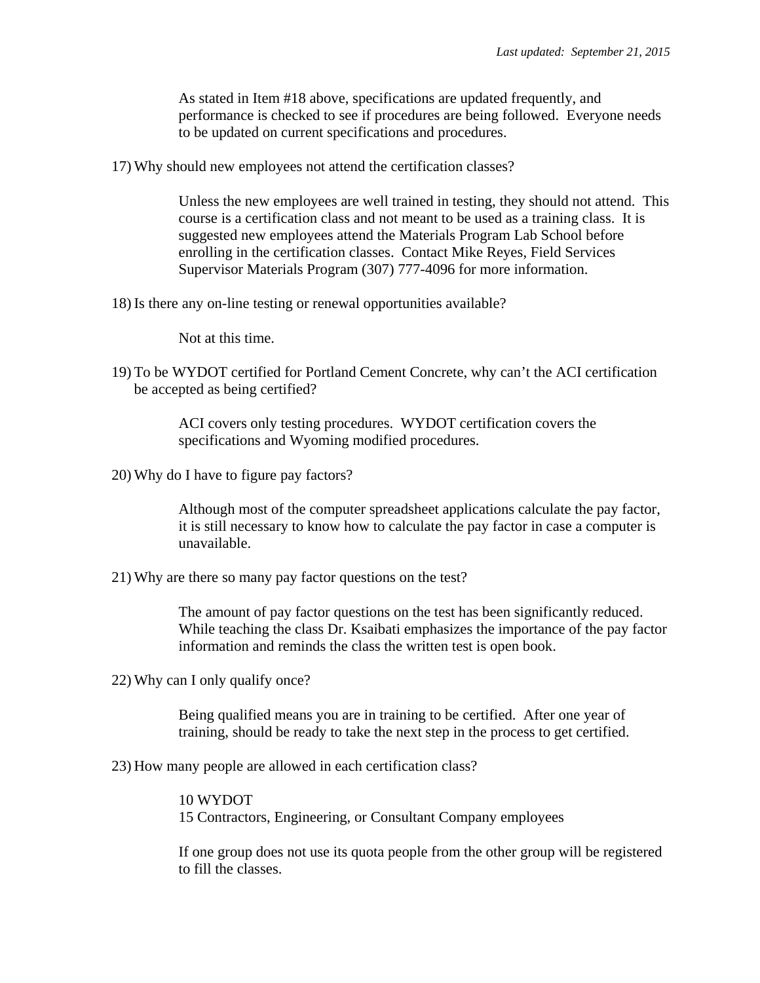As stated in Item #18 above, specifications are updated frequently, and performance is checked to see if procedures are being followed. Everyone needs to be updated on current specifications and procedures.

17) Why should new employees not attend the certification classes?

Unless the new employees are well trained in testing, they should not attend. This course is a certification class and not meant to be used as a training class. It is suggested new employees attend the Materials Program Lab School before enrolling in the certification classes. Contact Mike Reyes, Field Services Supervisor Materials Program (307) 777-4096 for more information.

18) Is there any on-line testing or renewal opportunities available?

Not at this time.

19) To be WYDOT certified for Portland Cement Concrete, why can't the ACI certification be accepted as being certified?

> ACI covers only testing procedures. WYDOT certification covers the specifications and Wyoming modified procedures.

20) Why do I have to figure pay factors?

 Although most of the computer spreadsheet applications calculate the pay factor, it is still necessary to know how to calculate the pay factor in case a computer is unavailable.

21) Why are there so many pay factor questions on the test?

The amount of pay factor questions on the test has been significantly reduced. While teaching the class Dr. Ksaibati emphasizes the importance of the pay factor information and reminds the class the written test is open book.

22) Why can I only qualify once?

 Being qualified means you are in training to be certified. After one year of training, should be ready to take the next step in the process to get certified.

23) How many people are allowed in each certification class?

## 10 WYDOT

15 Contractors, Engineering, or Consultant Company employees

 If one group does not use its quota people from the other group will be registered to fill the classes.